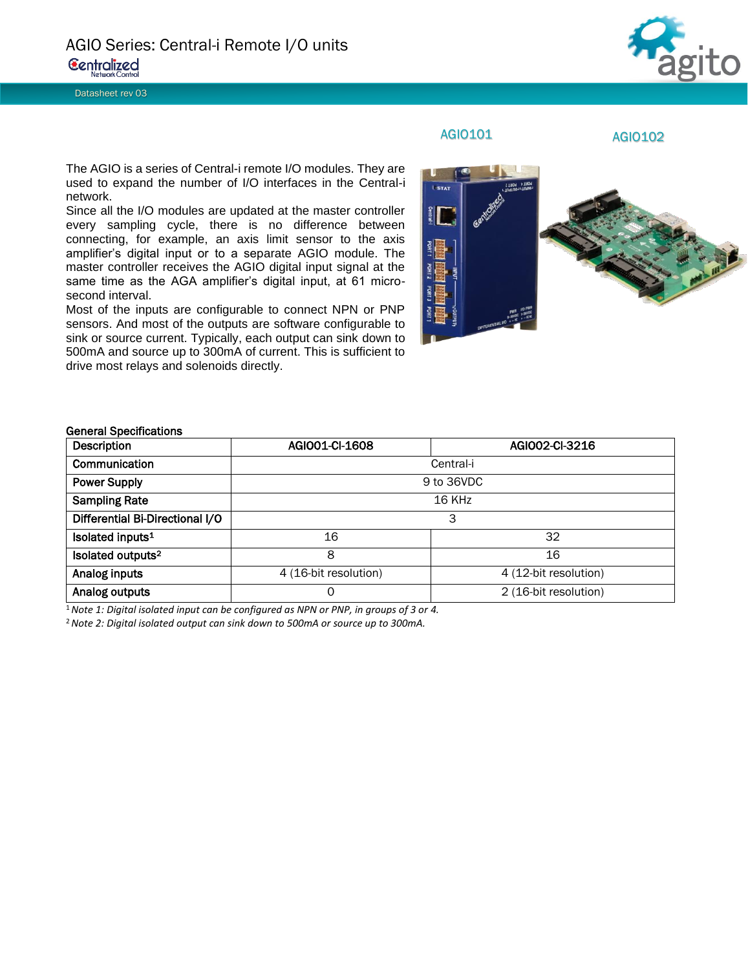Datasheet rev 03



## AGIO101 AGIO102

The AGIO is a series of Central-i remote I/O modules. They are used to expand the number of I/O interfaces in the Central-i network.

Since all the I/O modules are updated at the master controller every sampling cycle, there is no difference between connecting, for example, an axis limit sensor to the axis amplifier's digital input or to a separate AGIO module. The master controller receives the AGIO digital input signal at the same time as the AGA amplifier's digital input, at 61 microsecond interval.

Most of the inputs are configurable to connect NPN or PNP sensors. And most of the outputs are software configurable to sink or source current. Typically, each output can sink down to 500mA and source up to 300mA of current. This is sufficient to drive most relays and solenoids directly.



## General Specifications

| Description                     | AGIO01-CI-1608        | AGI002-CI-3216        |  |  |
|---------------------------------|-----------------------|-----------------------|--|--|
| Communication                   | Central-i             |                       |  |  |
| <b>Power Supply</b>             | 9 to 36VDC            |                       |  |  |
| <b>Sampling Rate</b>            | 16 KHz                |                       |  |  |
| Differential Bi-Directional I/O | 3                     |                       |  |  |
| Isolated inputs <sup>1</sup>    | 16                    | 32                    |  |  |
| Isolated outputs <sup>2</sup>   | 8                     | 16                    |  |  |
| Analog inputs                   | 4 (16-bit resolution) | 4 (12-bit resolution) |  |  |
| Analog outputs                  | 0                     | 2 (16-bit resolution) |  |  |

<sup>1</sup>*Note 1: Digital isolated input can be configured as NPN or PNP, in groups of 3 or 4.*

<sup>2</sup>*Note 2: Digital isolated output can sink down to 500mA or source up to 300mA.*